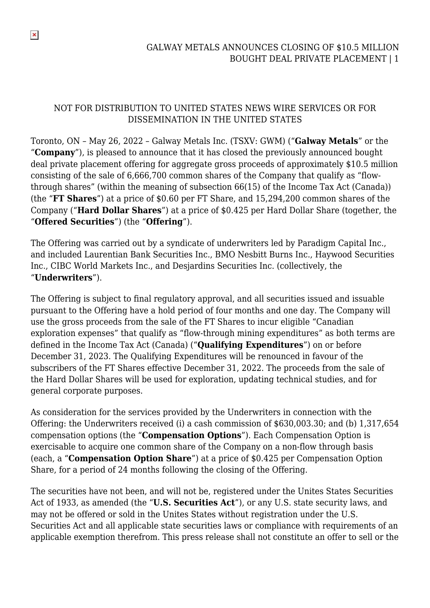#### NOT FOR DISTRIBUTION TO UNITED STATES NEWS WIRE SERVICES OR FOR DISSEMINATION IN THE UNITED STATES

 $\pmb{\times}$ 

Toronto, ON – May 26, 2022 – Galway Metals Inc. (TSXV: GWM) ("**Galway Metals**" or the "**Company**"), is pleased to announce that it has closed the previously announced bought deal private placement offering for aggregate gross proceeds of approximately \$10.5 million consisting of the sale of 6,666,700 common shares of the Company that qualify as "flowthrough shares" (within the meaning of subsection 66(15) of the Income Tax Act (Canada)) (the "**FT Shares**") at a price of \$0.60 per FT Share, and 15,294,200 common shares of the Company ("**Hard Dollar Shares**") at a price of \$0.425 per Hard Dollar Share (together, the "**Offered Securities**") (the "**Offering**").

The Offering was carried out by a syndicate of underwriters led by Paradigm Capital Inc., and included Laurentian Bank Securities Inc., BMO Nesbitt Burns Inc., Haywood Securities Inc., CIBC World Markets Inc., and Desjardins Securities Inc. (collectively, the "**Underwriters**").

The Offering is subject to final regulatory approval, and all securities issued and issuable pursuant to the Offering have a hold period of four months and one day. The Company will use the gross proceeds from the sale of the FT Shares to incur eligible "Canadian exploration expenses" that qualify as "flow-through mining expenditures" as both terms are defined in the Income Tax Act (Canada) ("**Qualifying Expenditures**") on or before December 31, 2023. The Qualifying Expenditures will be renounced in favour of the subscribers of the FT Shares effective December 31, 2022. The proceeds from the sale of the Hard Dollar Shares will be used for exploration, updating technical studies, and for general corporate purposes.

As consideration for the services provided by the Underwriters in connection with the Offering: the Underwriters received (i) a cash commission of \$630,003.30; and (b) 1,317,654 compensation options (the "**Compensation Options**"). Each Compensation Option is exercisable to acquire one common share of the Company on a non-flow through basis (each, a "**Compensation Option Share**") at a price of \$0.425 per Compensation Option Share, for a period of 24 months following the closing of the Offering.

The securities have not been, and will not be, registered under the Unites States Securities Act of 1933, as amended (the "**U.S. Securities Act**"), or any U.S. state security laws, and may not be offered or sold in the Unites States without registration under the U.S. Securities Act and all applicable state securities laws or compliance with requirements of an applicable exemption therefrom. This press release shall not constitute an offer to sell or the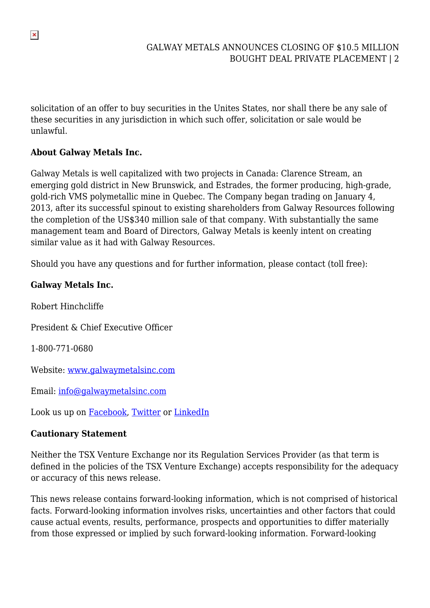solicitation of an offer to buy securities in the Unites States, nor shall there be any sale of these securities in any jurisdiction in which such offer, solicitation or sale would be unlawful.

### **About Galway Metals Inc.**

Galway Metals is well capitalized with two projects in Canada: Clarence Stream, an emerging gold district in New Brunswick, and Estrades, the former producing, high-grade, gold-rich VMS polymetallic mine in Quebec. The Company began trading on January 4, 2013, after its successful spinout to existing shareholders from Galway Resources following the completion of the US\$340 million sale of that company. With substantially the same management team and Board of Directors, Galway Metals is keenly intent on creating similar value as it had with Galway Resources.

Should you have any questions and for further information, please contact (toll free):

# **Galway Metals Inc.**

Robert Hinchcliffe President & Chief Executive Officer 1-800-771-0680 Website: [www.galwaymetalsinc.com](https://pr.report/oPLR2gDm) Email: [info@galwaymetalsinc.com](mailto:info@galwaymetalsinc.com)

Look us up on [Facebook,](https://pr.report/gx8CqZnP) [Twitter](https://pr.report/pK3nWLjh) or [LinkedIn](https://pr.report/oatCOlIb)

# **Cautionary Statement**

Neither the TSX Venture Exchange nor its Regulation Services Provider (as that term is defined in the policies of the TSX Venture Exchange) accepts responsibility for the adequacy or accuracy of this news release.

This news release contains forward-looking information, which is not comprised of historical facts. Forward-looking information involves risks, uncertainties and other factors that could cause actual events, results, performance, prospects and opportunities to differ materially from those expressed or implied by such forward-looking information. Forward-looking

 $\pmb{\times}$